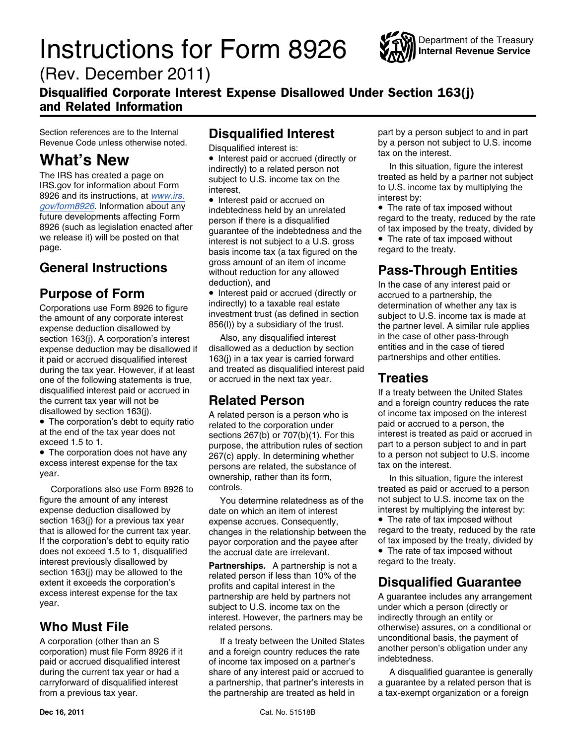## **Instructions for Form 8926**



(Rev. December 2011)

### Disqualified Corporate Interest Expense Disallowed Under Section 163(j) and Related Information

8926 and its instructions, at <u>[www.irs.](http://www.irs.gov/form8926)</u><br>gov/form8926. Information about any **example to the interval and business** included by an unre 8926 and its instructions, at *www.irs.*<br> [gov/form8926](http://www.irs.gov/form8926). Information about any indebtedness held by an unrelated • The rate of tax imposed without<br>
future developments affecting Form person if there is a disqualified regard

the amount of any corporate interest<br>expense deduction disallowed by a subsidiary of the trust.<br>section 163(i). A corporation's interest also, any disqualified interest in the case of other pass-through during the tax year. However, if at least and treated as disqualified inter<br>one of the following statements is true. or accrued in the next tax year. one of the following statements is true, or accrued in the next tax year. **Treaties** disqualified interest paid or accrued in<br> **Related Person** If a treaty between the United States<br> **Related Person** and a foreign country reduces the rat

• The corporation's debt to equity ratio • The corporation's debt to equity ratio related to the corporation under at the end of the tax year does not related to the corporation under

• The corporation does not have any excess interest expense for the tax persons are related, the substance of vear.

does not exceed 1.5 to 1, disqualified the accrual date are irrelevant.

Revenue Code unless otherwise noted.<br>
Disqualified interest is:<br> **What's New**<br>
The IRS has created a page on subject to U.S. income tax on the interest.<br>
IRS gov for information about Form interest,<br>
in this situation, fig

Future developments affecting Form person if there is a disqualified regard to the treaty, reduced by the rate<br>8926 (such as legislation enacted after guarantee of the indebtedness and the of tax imposed by the treaty, div we release it) will be posted on that  $\frac{1}{2}$  interest is not subject to a U.S. gross  $\bullet$  The rate of tax im page. General Instructions **Figure 3** amount of an item of income<br>without reduction for any allowed **Pass-Through Entities** deduction), and **In the case of any interest paid or** 

**Purpose of Form** • Interest paid or accrued (directly or accrued to a partnership, the partnership, the partnership, the indirectly) to a taxable real estate determination of whether any Corporations use Form 8926 to figure indirectly) to a taxable real estate determination of whether any tax is<br>the amount of any corporate interest investment trust (as defined in section subject to U.S. income tax is made

section 163(j). A corporation's interest also, any disqualified interest in the case of other pass-through<br>expense deduction may be disallowed if disallowed as a deduction by section entities and in the case of tiered expense deduction may be disallowed if disallowed as a deduction by section entities and in the case of tiered<br>it paid or accrued disqualified interest 163(i) in a tax year is carried forward partnerships and other entitie it paid or accrued disqualified interest 163(j) in a tax year is carried forward<br>during the tax year. However, if at least and treated as disqualified interest paid

purpose, the attribution rules of section • The corporation does not have any  $267(c)$  apply. In determining whether to a person not subject to U.S. income excess interest expense for the tax persons are related the substance of tax on the interest. ownership, rather than its form,<br>
In this situation, figure the interest<br>
controls.<br>
In this situation, figure the interest<br>
controls.

figure the amount of any interest You determine relatedness as of the not subject to U.S. income tax on the expense deduction disallowed by date on which an item of interest interest by multiplying the interest by:<br>section 163(i) for a previous tax year expense accrues. Consequently.  $\bullet$  The rate of tax imposed without section 163(j) for a previous tax year expense accrues. Consequently, **•** The rate of tax imposed without that is allowed for the current tax year. changes in the relationship between the regard to the treaty, reduced by t that is allowed for the current tax year. changes in the relationship between the regard to the treaty, reduced by the rate<br>If the corporation's debt to equity ratio payor corporation and the payee after of tax imposed by If the corporation's debt to equity ratio payor corporation and the payee after of tax imposed by the treaty, divided does not exceed 1.5 to 1. disqualified the accrual date are irrelevant

interest previously disallowed by<br>section 163(j) may be allowed to the<br>extent it exceeds the corporation's<br>excess interest expense for the tax<br>year.<br>year.<br>year.<br>and capital interest in the<br>subject to U.S. income tax on the interest. However, the partners may be indirectly through an entity or **Who Must File** related persons. The conditional or product on a conditional or

A corporation (other than an S and a foreign country reduces the rate and the orporation) must file Form 8926 if it and a foreign country reduces the rate and the payment of paid or accrued disqualified interest of income during the current tax year or had a share of any interest paid or accrued to A disqualified guarantee is generally carryforward of disqualified interest a partnership, that partner's interests in a guarantee by a related person that is from a previous tax year. the partnership are treated as held in a tax-exempt organization or a foreign

Section references are to the Internal **Disqualified Interest** part by a person subject to and in part Revenue Code unless otherwise noted.

the current tax year will not be **Related Person**<br> **Related person** and a foreign country reduces the rate<br> **Related person** is a person who is of income tax imposed on the interest<br> **Related person** is a person who is of at the end of the tax year does not sections 267(b) or 707(b)(1). For this interest is treated as paid or accrued in<br>exceed 1.5 to 1.<br>part to a person subject to and in part

Corporations also use Form 8926 to controls. Corporations are treated as paid or accrued to a person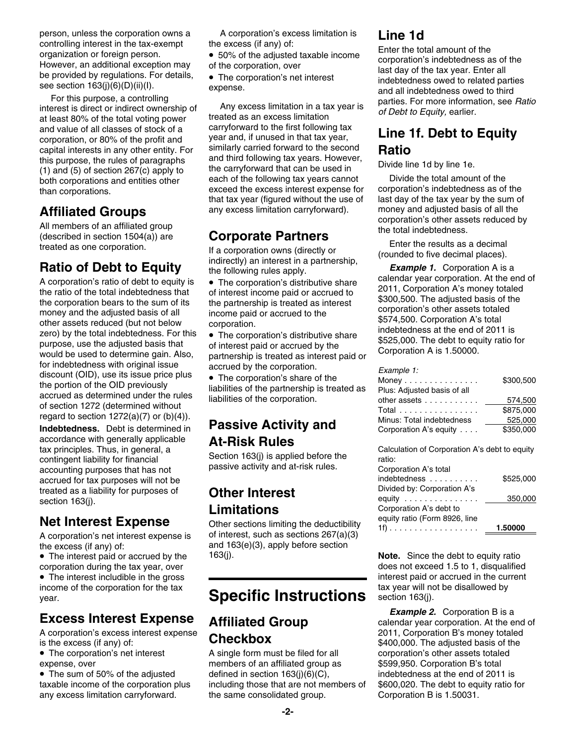person, unless the corporation owns a A corporation's excess limitation is **Line 1d** controlling interest in the tax-exempt the excess (if any) of:<br>
organization or foreign person. <br>
However, an additional exception may of the corporation, over last day of the tax year. Enter all<br>
be provided by regulation

For this purpose, a controlling parties. For more information, see *Ratio*<br>interest is direct or indirect ownership of *Any* excess limitation in a tax year is *of Debt to Equity,* earlier. at least 80% of the total voting power treated as an excess limitation<br>and value of all classes of stock of a carryforward to the first following tax and value of all classes of stock of a and value of all classes of stock of a<br>corporation, or 80% of the profit and year and, if unused in that tax year,<br>capital interests in any other entity. For similarly carried forward to the second **Ratio** capital interests in any other entity. For<br>this purpose, the rules of paragraphs and third following tax years. However,<br>(1) and (5) of section 267(c) apply to the carryforward that can be used in both corporations and ent

money and the adjusted basis of all income paid or accrued to the corporation's other assets totaled<br>other assets reduced (but not below corporation.<br>zero) by the total indebtedness. For this The corporation's distributive Example 1:<br>
Section of the corporation is distributive share<br>
murpose, use the adjusted basis that<br>
would be used to determine gain. Also,<br>
for indebtedness with original issue<br>
discount (OID), use its issue price plus<br>  $\$ 

accordance with generally applicable **At-Risk Rules**<br>tax principles. Thus, in general, a contingent in Section 163(j) is applied before the calculation of Corporation A's debt to equity<br>contingent liability for financial r contingent liability for financial<br>accounting purposes that has not passive activity and at-risk rules. accrued for tax purposes will not be treated as a liability for purposes of **Other Interest** section 163(j).

A corporation's net interest expense is

• The interest paid or accrued by the 163(j). **Note.** Since the debt to equity ratio

income of the corporation for the tax **tax year will not be disallowed by** the tax year will not be disallowed by

A corporation's excess interest expense  $2^{th}$  Checkbox is the excess (if any) of: **CHECKDOX** 5400,000. The adjusted basis of the

• The corporation's net interest

both corporations and entities other each of the following tax years cannot<br>than corporations.<br>that tax year (figured without the use of last day of the tax year by the sum of

## **Indebtedness.** Debt is determined in **Passive Activity and**

## **Limitations**

**Net Interest Expense** Other sections limiting the deductibility **A** corporation's net interest expense is of interest, such as sections 267(a)(3) the excess (if any) of:  $and 163(e)(3)$ , apply before section<br>• The interest paid or accrued by the  $163(i)$ .

## year. **Specific Instructions** section 163(j).

A single form must be filed for all corporation's other assets totaled expense, over members of an affiliated group as \$599,950. Corporation B's total  $\bullet$  The sum of 50% of the adjusted defined in section 163(j)(6)(C),  $\qquad \qquad$  indebtedness at the end of 2011 is taxable income of the corporation plus including those that are not members of \$600,020. The debt to equity ratio for any excess limitation carryforward. the same consolidated group. Corporation B is 1.50031.

The corporation's of the corporation's net interest<br>
See section 163(j)(6)(D)(ii)(I). expense. For this purpose, a controlling<br>
For this purpose, a controlling<br>
expense.<br>
Expense.<br>
Expense.<br>
Expense.<br>
Expense.<br>
Expense.<br>
E

**Affiliated Groups** any excess limitation carryforward). The money and adjusted basis of all the corporation's other assets reduced by

All members of an affiliated group<br>
(described in section 1504(a)) are<br>
treated as one corporation. If a corporation owns (directly or<br> **Ratio of Debt to Equity**<br>
A corporation's ratio of debt to equity is<br>
the following r

| Example 1: |  |
|------------|--|
|            |  |

| discount (OID), use its issue price plus.<br>the portion of the OID previously<br>accrued as determined under the rules<br>of section 1272 (determined without | • The corporation's share of the<br>liabilities of the partnership is treated as<br>liabilities of the corporation. | Money<br>Plus: Adjusted basis of all<br>other assets | \$300,500<br>574.500 |
|----------------------------------------------------------------------------------------------------------------------------------------------------------------|---------------------------------------------------------------------------------------------------------------------|------------------------------------------------------|----------------------|
|                                                                                                                                                                |                                                                                                                     | Total                                                | \$875,000            |
| regard to section $1272(a)(7)$ or $(b)(4)$ ).                                                                                                                  |                                                                                                                     | Minus: Total indebtedness                            | 525.000              |
| <b>Indebtedness.</b> Debt is determined in                                                                                                                     | <b>Passive Activity and</b>                                                                                         | Corporation A's equity                               | \$350,000            |

| Corporation A's total         |           |
|-------------------------------|-----------|
| indebtedness                  | \$525.000 |
| Divided by: Corporation A's   |           |
| equity                        | 350,000   |
| Corporation A's debt to       |           |
| equity ratio (Form 8926, line |           |
|                               | 1.50000   |

corporation during the tax year, over does not exceed 1.5 to 1, disqualified • The interest includible in the gross **interest paid or accrued in the current**  $\blacksquare$  interest paid or accrued in the current

**Example 2.** Corporation B is a **Example 2.** Corporation B is a **Example 2.** Corporation B is a calendar year corporation. At the end of A corporation's excess interest expense **CLU**